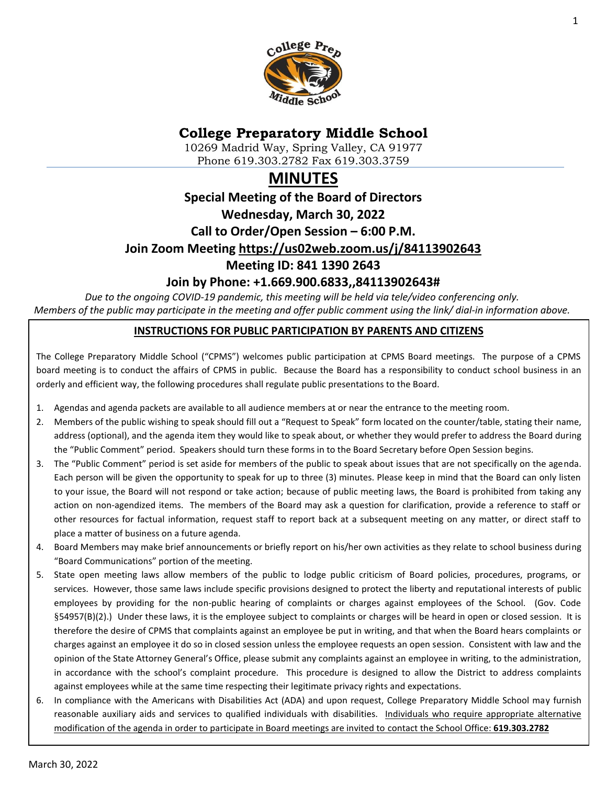

# **College Preparatory Middle School**

10269 Madrid Way, Spring Valley, CA 91977 Phone 619.303.2782 Fax 619.303.3759

# **MINUTES**

# **Special Meeting of the Board of Directors Wednesday, March 30, 2022 Call to Order/Open Session – 6:00 P.M. Join Zoom Meeting<https://us02web.zoom.us/j/84113902643> Meeting ID: 841 1390 2643**

# **Join by Phone: +1.669.900.6833,,84113902643#**

*Due to the ongoing COVID-19 pandemic, this meeting will be held via tele/video conferencing only. Members of the public may participate in the meeting and offer public comment using the link/ dial-in information above.*

### **INSTRUCTIONS FOR PUBLIC PARTICIPATION BY PARENTS AND CITIZENS**

The College Preparatory Middle School ("CPMS") welcomes public participation at CPMS Board meetings. The purpose of a CPMS board meeting is to conduct the affairs of CPMS in public. Because the Board has a responsibility to conduct school business in an orderly and efficient way, the following procedures shall regulate public presentations to the Board.

- 1. Agendas and agenda packets are available to all audience members at or near the entrance to the meeting room.
- 2. Members of the public wishing to speak should fill out a "Request to Speak" form located on the counter/table, stating their name, address (optional), and the agenda item they would like to speak about, or whether they would prefer to address the Board during the "Public Comment" period. Speakers should turn these forms in to the Board Secretary before Open Session begins.
- 3. The "Public Comment" period is set aside for members of the public to speak about issues that are not specifically on the agenda. Each person will be given the opportunity to speak for up to three (3) minutes. Please keep in mind that the Board can only listen to your issue, the Board will not respond or take action; because of public meeting laws, the Board is prohibited from taking any action on non-agendized items. The members of the Board may ask a question for clarification, provide a reference to staff or other resources for factual information, request staff to report back at a subsequent meeting on any matter, or direct staff to place a matter of business on a future agenda.
- 4. Board Members may make brief announcements or briefly report on his/her own activities as they relate to school business during "Board Communications" portion of the meeting.
- 5. State open meeting laws allow members of the public to lodge public criticism of Board policies, procedures, programs, or services. However, those same laws include specific provisions designed to protect the liberty and reputational interests of public employees by providing for the non-public hearing of complaints or charges against employees of the School. (Gov. Code §54957(B)(2).) Under these laws, it is the employee subject to complaints or charges will be heard in open or closed session. It is therefore the desire of CPMS that complaints against an employee be put in writing, and that when the Board hears complaints or charges against an employee it do so in closed session unless the employee requests an open session. Consistent with law and the opinion of the State Attorney General's Office, please submit any complaints against an employee in writing, to the administration, in accordance with the school's complaint procedure. This procedure is designed to allow the District to address complaints against employees while at the same time respecting their legitimate privacy rights and expectations.
- 6. In compliance with the Americans with Disabilities Act (ADA) and upon request, College Preparatory Middle School may furnish reasonable auxiliary aids and services to qualified individuals with disabilities. Individuals who require appropriate alternative modification of the agenda in order to participate in Board meetings are invited to contact the School Office: **619.303.2782**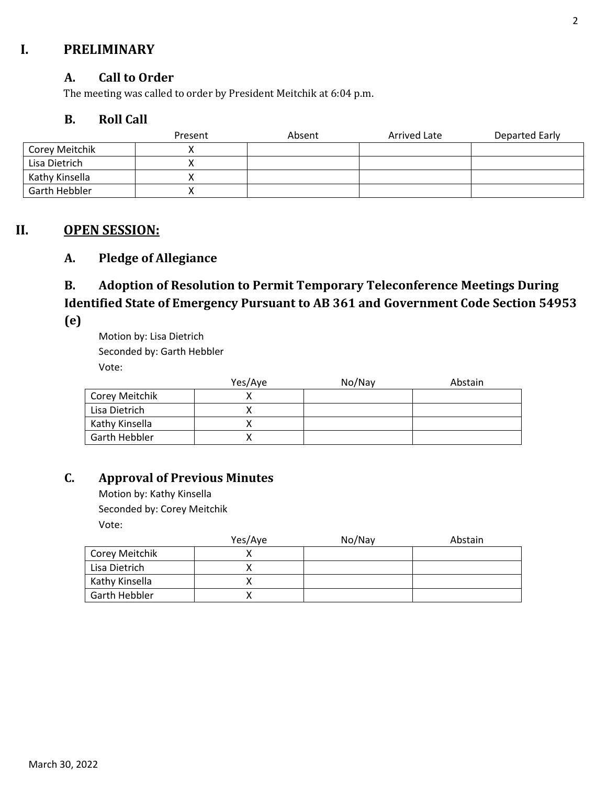# **I. PRELIMINARY**

#### **A. Call to Order**

The meeting was called to order by President Meitchik at 6:04 p.m.

#### **B. Roll Call**

|                | Present | Absent | <b>Arrived Late</b> | Departed Early |
|----------------|---------|--------|---------------------|----------------|
| Corey Meitchik |         |        |                     |                |
| Lisa Dietrich  |         |        |                     |                |
| Kathy Kinsella |         |        |                     |                |
| Garth Hebbler  |         |        |                     |                |

### **II. OPEN SESSION:**

### **A. Pledge of Allegiance**

# **B. Adoption of Resolution to Permit Temporary Teleconference Meetings During Identified State of Emergency Pursuant to AB 361 and Government Code Section 54953**

**(e)**

Motion by: Lisa Dietrich Seconded by: Garth Hebbler Vote:

|                | Yes/Aye | No/Nay | Abstain |
|----------------|---------|--------|---------|
| Corey Meitchik |         |        |         |
| Lisa Dietrich  |         |        |         |
| Kathy Kinsella |         |        |         |
| Garth Hebbler  |         |        |         |

## **C. Approval of Previous Minutes**

Motion by: Kathy Kinsella Seconded by: Corey Meitchik Vote:

|                | Yes/Aye | No/Nay | Abstain |
|----------------|---------|--------|---------|
| Corey Meitchik |         |        |         |
| Lisa Dietrich  |         |        |         |
| Kathy Kinsella |         |        |         |
| Garth Hebbler  |         |        |         |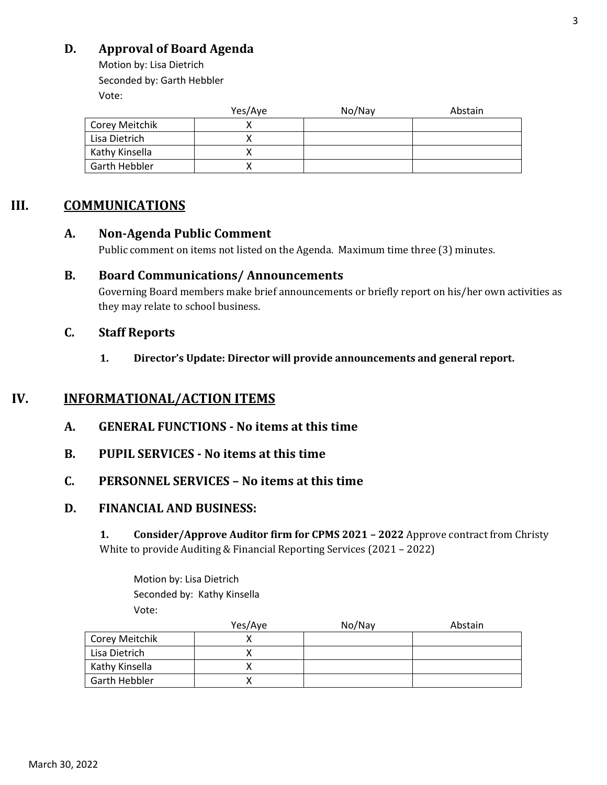# **D. Approval of Board Agenda**

Motion by: Lisa Dietrich Seconded by: Garth Hebbler Vote:

|                | Yes/Aye | No/Nay | Abstain |
|----------------|---------|--------|---------|
| Corey Meitchik |         |        |         |
| Lisa Dietrich  |         |        |         |
| Kathy Kinsella |         |        |         |
| Garth Hebbler  |         |        |         |

# **III. COMMUNICATIONS**

### **A. Non-Agenda Public Comment**

Public comment on items not listed on the Agenda. Maximum time three (3) minutes.

### **B. Board Communications/ Announcements**

Governing Board members make brief announcements or briefly report on his/her own activities as they may relate to school business.

### **C. Staff Reports**

**1. Director's Update: Director will provide announcements and general report.** 

# **IV. INFORMATIONAL/ACTION ITEMS**

- **A. GENERAL FUNCTIONS - No items at this time**
- **B. PUPIL SERVICES - No items at this time**
- **C. PERSONNEL SERVICES – No items at this time**

#### **D. FINANCIAL AND BUSINESS:**

**1. Consider/Approve Auditor firm for CPMS 2021 – 2022** Approve contract from Christy White to provide Auditing & Financial Reporting Services (2021 – 2022)

Motion by: Lisa Dietrich Seconded by: Kathy Kinsella Vote:

|                | Yes/Aye | No/Nay | Abstain |
|----------------|---------|--------|---------|
| Corey Meitchik |         |        |         |
| Lisa Dietrich  |         |        |         |
| Kathy Kinsella |         |        |         |
| Garth Hebbler  |         |        |         |